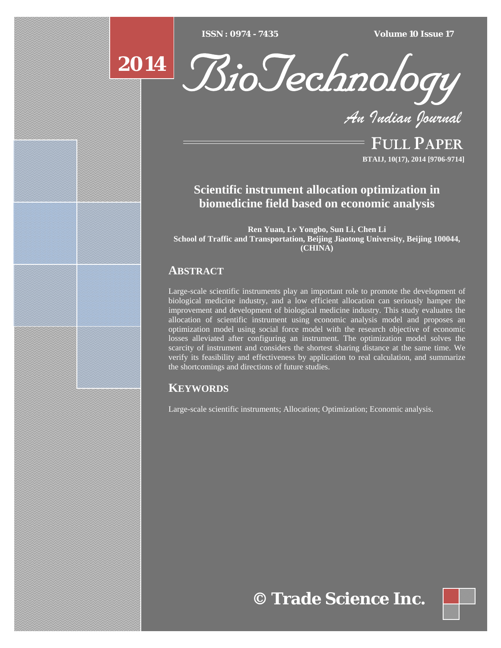$\overline{ISSN} : 0974 - 7435$ 

*ISSN : 0974 - 7435 Volume 10 Issue 17*





*An Indian Journal*

FULL PAPER **BTAIJ, 10(17), 2014 [9706-9714]**

# **Scientific instrument allocation optimization in biomedicine field based on economic analysis**

**Ren Yuan, Lv Yongbo, Sun Li, Chen Li School of Traffic and Transportation, Beijing Jiaotong University, Beijing 100044, (CHINA)**

# **ABSTRACT**

Large-scale scientific instruments play an important role to promote the development of biological medicine industry, and a low efficient allocation can seriously hamper the improvement and development of biological medicine industry. This study evaluates the allocation of scientific instrument using economic analysis model and proposes an optimization model using social force model with the research objective of economic losses alleviated after configuring an instrument. The optimization model solves the scarcity of instrument and considers the shortest sharing distance at the same time. We verify its feasibility and effectiveness by application to real calculation, and summarize the shortcomings and directions of future studies.

# **KEYWORDS**

Large-scale scientific instruments; Allocation; Optimization; Economic analysis.

# **© Trade Science Inc.**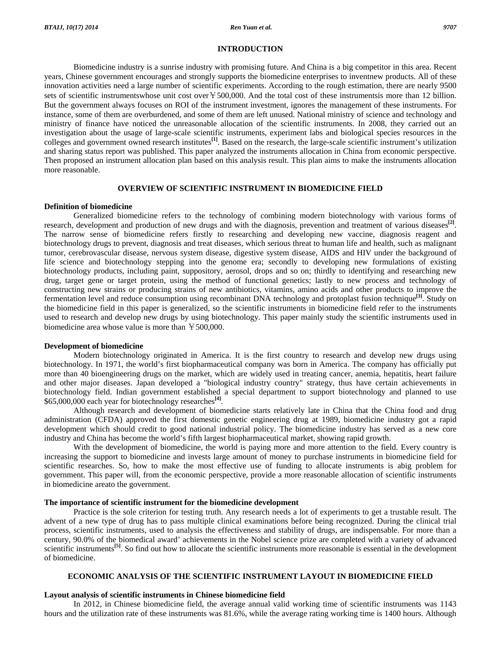#### **INTRODUCTION**

 Biomedicine industry is a sunrise industry with promising future. And China is a big competitor in this area. Recent years, Chinese government encourages and strongly supports the biomedicine enterprises to inventnew products. All of these innovation activities need a large number of scientific experiments. According to the rough estimation, there are nearly 9500 sets of scientific instrumentswhose unit cost over ¥500,000. And the total cost of these instrumentsis more than 12 billion. But the government always focuses on ROI of the instrument investment, ignores the management of these instruments. For instance, some of them are overburdened, and some of them are left unused. National ministry of science and technology and ministry of finance have noticed the unreasonable allocation of the scientific instruments. In 2008, they carried out an investigation about the usage of large-scale scientific instruments, experiment labs and biological species resources in the colleges and government owned research institutes**[1]**. Based on the research, the large-scale scientific instrument's utilization and sharing status report was published. This paper analyzed the instruments allocation in China from economic perspective. Then proposed an instrument allocation plan based on this analysis result. This plan aims to make the instruments allocation more reasonable.

### **OVERVIEW OF SCIENTIFIC INSTRUMENT IN BIOMEDICINE FIELD**

#### **Definition of biomedicine**

 Generalized biomedicine refers to the technology of combining modern biotechnology with various forms of research, development and production of new drugs and with the diagnosis, prevention and treatment of various diseases**[2]**. The narrow sense of biomedicine refers firstly to researching and developing new vaccine, diagnosis reagent and biotechnology drugs to prevent, diagnosis and treat diseases, which serious threat to human life and health, such as malignant tumor, cerebrovascular disease, nervous system disease, digestive system disease, AIDS and HIV under the background of life science and biotechnology stepping into the genome era; secondly to developing new formulations of existing biotechnology products, including paint, suppository, aerosol, drops and so on; thirdly to identifying and researching new drug, target gene or target protein, using the method of functional genetics; lastly to new process and technology of constructing new strains or producing strains of new antibiotics, vitamins, amino acids and other products to improve the fermentation level and reduce consumption using recombinant DNA technology and protoplast fusion technique**[3]**. Study on the biomedicine field in this paper is generalized, so the scientific instruments in biomedicine field refer to the instruments used to research and develop new drugs by using biotechnology. This paper mainly study the scientific instruments used in biomedicine area whose value is more than ¥500,000.

#### **Development of biomedicine**

 Modern biotechnology originated in America. It is the first country to research and develop new drugs using biotechnology. In 1971, the world's first biopharmaceutical company was born in America. The company has officially put more than 40 bioengineering drugs on the market, which are widely used in treating cancer, anemia, hepatitis, heart failure and other major diseases. Japan developed a "biological industry country" strategy, thus have certain achievements in biotechnology field. Indian government established a special department to support biotechnology and planned to use \$65,000,000 each year for biotechnology researches**[4]**.

 Although research and development of biomedicine starts relatively late in China that the China food and drug administration (CFDA) approved the first domestic genetic engineering drug at 1989, biomedicine industry got a rapid development which should credit to good national industrial policy. The biomedicine industry has served as a new core industry and China has become the world's fifth largest biopharmaceutical market, showing rapid growth.

 With the development of biomedicine, the world is paying more and more attention to the field. Every country is increasing the support to biomedicine and invests large amount of money to purchase instruments in biomedicine field for scientific researches. So, how to make the most effective use of funding to allocate instruments is abig problem for government. This paper will, from the economic perspective, provide a more reasonable allocation of scientific instruments in biomedicine areato the government.

#### **The importance of scientific instrument for the biomedicine development**

 Practice is the sole criterion for testing truth. Any research needs a lot of experiments to get a trustable result. The advent of a new type of drug has to pass multiple clinical examinations before being recognized. During the clinical trial process, scientific instruments, used to analysis the effectiveness and stability of drugs, are indispensable. For more than a century, 90.0% of the biomedical award' achievements in the Nobel science prize are completed with a variety of advanced scientific instruments<sup>[5]</sup>. So find out how to allocate the scientific instruments more reasonable is essential in the development of biomedicine.

#### **ECONOMIC ANALYSIS OF THE SCIENTIFIC INSTRUMENT LAYOUT IN BIOMEDICINE FIELD**

#### **Layout analysis of scientific instruments in Chinese biomedicine field**

 In 2012, in Chinese biomedicine field, the average annual valid working time of scientific instruments was 1143 hours and the utilization rate of these instruments was 81.6%, while the average rating working time is 1400 hours. Although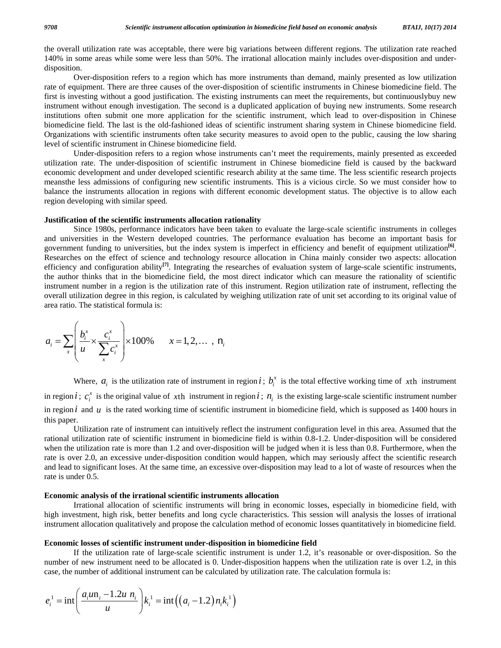the overall utilization rate was acceptable, there were big variations between different regions. The utilization rate reached 140% in some areas while some were less than 50%. The irrational allocation mainly includes over-disposition and underdisposition.

 Over-disposition refers to a region which has more instruments than demand, mainly presented as low utilization rate of equipment. There are three causes of the over-disposition of scientific instruments in Chinese biomedicine field. The first is investing without a good justification. The existing instruments can meet the requirements, but continuouslybuy new instrument without enough investigation. The second is a duplicated application of buying new instruments. Some research institutions often submit one more application for the scientific instrument, which lead to over-disposition in Chinese biomedicine field. The last is the old-fashioned ideas of scientific instrument sharing system in Chinese biomedicine field. Organizations with scientific instruments often take security measures to avoid open to the public, causing the low sharing level of scientific instrument in Chinese biomedicine field.

 Under-disposition refers to a region whose instruments can't meet the requirements, mainly presented as exceeded utilization rate. The under-disposition of scientific instrument in Chinese biomedicine field is caused by the backward economic development and under developed scientific research ability at the same time. The less scientific research projects meansthe less admissions of configuring new scientific instruments. This is a vicious circle. So we must consider how to balance the instruments allocation in regions with different economic development status. The objective is to allow each region developing with similar speed.

#### **Justification of the scientific instruments allocation rationality**

 Since 1980s, performance indicators have been taken to evaluate the large-scale scientific instruments in colleges and universities in the Western developed countries. The performance evaluation has become an important basis for government funding to universities, but the index system is imperfect in efficiency and benefit of equipment utilization**[6]**. Researches on the effect of science and technology resource allocation in China mainly consider two aspects: allocation efficiency and configuration ability**[7]**. Integrating the researches of evaluation system of large-scale scientific instruments, the author thinks that in the biomedicine field, the most direct indicator which can measure the rationality of scientific instrument number in a region is the utilization rate of this instrument. Region utilization rate of instrument, reflecting the overall utilization degree in this region, is calculated by weighing utilization rate of unit set according to its original value of area ratio. The statistical formula is:

$$
a_i = \sum_{x} \left( \frac{b_i^x}{u} \times \frac{c_i^x}{\sum_{x} c_i^x} \right) \times 100\% \qquad x = 1, 2, \dots, n_i
$$

Where,  $a_i$  is the utilization rate of instrument in region *i*;  $b_i^x$  is the total effective working time of *x*th instrument in region *i*;  $c_i^x$  is the original value of xth instrument in region *i*;  $n_i$  is the existing large-scale scientific instrument number in region  $i$  and  $u$  is the rated working time of scientific instrument in biomedicine field, which is supposed as 1400 hours in this paper.

 Utilization rate of instrument can intuitively reflect the instrument configuration level in this area. Assumed that the rational utilization rate of scientific instrument in biomedicine field is within 0.8-1.2. Under-disposition will be considered when the utilization rate is more than 1.2 and over-disposition will be judged when it is less than 0.8. Furthermore, when the rate is over 2.0, an excessive under-disposition condition would happen, which may seriously affect the scientific research and lead to significant loses. At the same time, an excessive over-disposition may lead to a lot of waste of resources when the rate is under 0.5.

#### **Economic analysis of the irrational scientific instruments allocation**

 Irrational allocation of scientific instruments will bring in economic losses, especially in biomedicine field, with high investment, high risk, better benefits and long cycle characteristics. This session will analysis the losses of irrational instrument allocation qualitatively and propose the calculation method of economic losses quantitatively in biomedicine field.

#### **Economic losses of scientific instrument under-disposition in biomedicine field**

 If the utilization rate of large-scale scientific instrument is under 1.2, it's reasonable or over-disposition. So the number of new instrument need to be allocated is 0. Under-disposition happens when the utilization rate is over 1.2, in this case, the number of additional instrument can be calculated by utilization rate. The calculation formula is:

$$
e_i^1 = \text{int}\left(\frac{a_i u n_i - 1.2u n_i}{u}\right) k_i^1 = \text{int}\left((a_i - 1.2) n_i k_i^1\right)
$$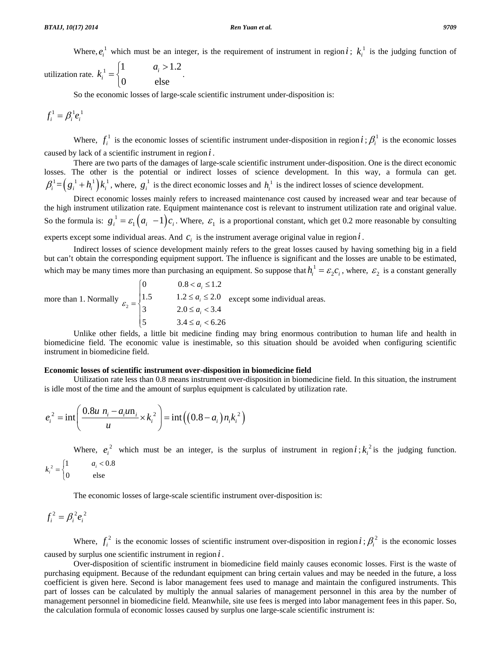Where,  $e_i^1$  which must be an integer, is the requirement of instrument in region *i*;  $k_i^1$  is the judging function of

utilization rate.  $k_i^1 = \begin{cases} 1 & a_i > 1.2 \\ 0 & \text{else} \end{cases}$ 0 else  $k_i^1 = \begin{cases} 1 & a_i > 1.2 \\ 0 & a_i > 1.2 \end{cases}$ 

So the economic losses of large-scale scientific instrument under-disposition is:

$$
f_i^1 = \beta_i^1 e_i^1
$$

Where,  $f_i^1$  is the economic losses of scientific instrument under-disposition in region  $i$ ;  $\beta_i^1$  is the economic losses caused by lack of a scientific instrument in region *i* .

 There are two parts of the damages of large-scale scientific instrument under-disposition. One is the direct economic losses. The other is the potential or indirect losses of science development. In this way, a formula can get.  $\beta_i^1 = (g_i^1 + h_i^1) k_i^1$ , where,  $g_i^1$  is the direct economic losses and  $h_i^1$  is the indirect losses of science development.

 Direct economic losses mainly refers to increased maintenance cost caused by increased wear and tear because of the high instrument utilization rate. Equipment maintenance cost is relevant to instrument utilization rate and original value. So the formula is:  $g_i^1 = \varepsilon_1 (a_i - 1) c_i$ . Where,  $\varepsilon_1$  is a proportional constant, which get 0.2 more reasonable by consulting

experts except some individual areas. And  $c_i$  is the instrument average original value in region  $i$ .

 Indirect losses of science development mainly refers to the great losses caused by having something big in a field but can't obtain the corresponding equipment support. The influence is significant and the losses are unable to be estimated, which may be many times more than purchasing an equipment. So suppose that  $h_i^1 = \mathcal{E}_2 c_i$ , where,  $\mathcal{E}_2$  is a constant generally

more than 1. Normally  $\varepsilon_2$ 0.8  $0.8 < a_i \leq 1.2$ 1.5  $1.2 \le a_i \le 2.0$ 3  $2.0 \le a_i < 3.4$  $\begin{cases} 5 & 3.4 \leq a_i < 6.26 \end{cases}$ *i i i a a*  $\varepsilon_2 = \begin{cases} 3 & 2.0 \le a \end{cases}$  $\begin{cases} 0 & 0.8 < a_i \leq 1 \end{cases}$  $=\begin{cases} 1.5 & 1.2 \le a_i \le 2.0 \\ 3 & 2.0 \le a_i < 3.4 \end{cases}$  except some individual areas.  $\overline{a}$ 

 Unlike other fields, a little bit medicine finding may bring enormous contribution to human life and health in biomedicine field. The economic value is inestimable, so this situation should be avoided when configuring scientific instrument in biomedicine field.

#### **Economic losses of scientific instrument over-disposition in biomedicine field**

 Utilization rate less than 0.8 means instrument over-disposition in biomedicine field. In this situation, the instrument is idle most of the time and the amount of surplus equipment is calculated by utilization rate.

$$
e_i^2 = \text{int}\left(\frac{0.8u n_i - a_i u_n}{u} \times k_i^2\right) = \text{int}\left((0.8 - a_i)n_i k_i^2\right)
$$

Where,  $e_i^2$  which must be an integer, is the surplus of instrument in region  $i$ ;  $k_i^2$  is the judging function.

$$
k_i^2 = \begin{cases} 1 & a_i < 0.8 \\ 0 & \text{else} \end{cases}
$$

The economic losses of large-scale scientific instrument over-disposition is:

$$
f_i^2 = \beta_i^2 e_i^2
$$

Where,  $f_i^2$  is the economic losses of scientific instrument over-disposition in region *i*;  $\beta_i^2$  is the economic losses caused by surplus one scientific instrument in region *i* .

 Over-disposition of scientific instrument in biomedicine field mainly causes economic losses. First is the waste of purchasing equipment. Because of the redundant equipment can bring certain values and may be needed in the future, a loss coefficient is given here. Second is labor management fees used to manage and maintain the configured instruments. This part of losses can be calculated by multiply the annual salaries of management personnel in this area by the number of management personnel in biomedicine field. Meanwhile, site use fees is merged into labor management fees in this paper. So, the calculation formula of economic losses caused by surplus one large-scale scientific instrument is: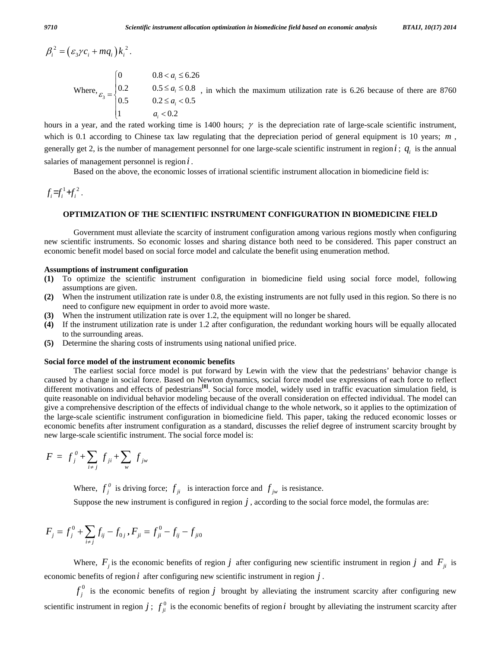$\beta_i^2 = (\varepsilon_3 \gamma c_i + m q_i) k_i^2$ . Where,  $\varepsilon_3$ 0.8  $0.8 < a_i \leq 6.26$ 0.2  $0.5 \le a_i \le 0.8$ 0.5  $0.2 \le a_i < 0.5$ 1  $a_i < 0.2$ *i i i i a a*  $\varepsilon_3 = \begin{cases} 0.5 & 0.2 \le a \end{cases}$ *a*  $\begin{cases} 0 & 0.8 < a_i \leq 0.5 \end{cases}$  $=\begin{cases} 0.2 & 0.5 \le a_i \le 0.8 \\ 0.5 & 0.2 \le a_i < 0.5 \end{cases}$ , in which the maximum utilization rate is 6.26 because of there are 8760  $\overline{a}$  $\begin{cases} 1 & a_i < \end{cases}$ 

hours in a year, and the rated working time is 1400 hours;  $\gamma$  is the depreciation rate of large-scale scientific instrument, which is 0.1 according to Chinese tax law regulating that the depreciation period of general equipment is 10 years; *m*, generally get 2, is the number of management personnel for one large-scale scientific instrument in region  $i$ ;  $q_i$  is the annual salaries of management personnel is region *i* .

Based on the above, the economic losses of irrational scientific instrument allocation in biomedicine field is:

 $f_i = f_i^1 + f_i^2$ .

#### **OPTIMIZATION OF THE SCIENTIFIC INSTRUMENT CONFIGURATION IN BIOMEDICINE FIELD**

 Government must alleviate the scarcity of instrument configuration among various regions mostly when configuring new scientific instruments. So economic losses and sharing distance both need to be considered. This paper construct an economic benefit model based on social force model and calculate the benefit using enumeration method.

#### **Assumptions of instrument configuration**

- **(1)** To optimize the scientific instrument configuration in biomedicine field using social force model, following assumptions are given.
- **(2)** When the instrument utilization rate is under 0.8, the existing instruments are not fully used in this region. So there is no need to configure new equipment in order to avoid more waste.
- **(3)** When the instrument utilization rate is over 1.2, the equipment will no longer be shared.
- **(4)** If the instrument utilization rate is under 1.2 after configuration, the redundant working hours will be equally allocated to the surrounding areas.
- **(5)** Determine the sharing costs of instruments using national unified price.

#### **Social force model of the instrument economic benefits**

 The earliest social force model is put forward by Lewin with the view that the pedestrians' behavior change is caused by a change in social force. Based on Newton dynamics, social force model use expressions of each force to reflect different motivations and effects of pedestrians**[8]**. Social force model, widely used in traffic evacuation simulation field, is quite reasonable on individual behavior modeling because of the overall consideration on effected individual. The model can give a comprehensive description of the effects of individual change to the whole network, so it applies to the optimization of the large-scale scientific instrument configuration in biomedicine field. This paper, taking the reduced economic losses or economic benefits after instrument configuration as a standard, discusses the relief degree of instrument scarcity brought by new large-scale scientific instrument. The social force model is:

$$
F = f_j^0 + \sum_{i \neq j} f_{ji} + \sum_{w} f_{jw}
$$

Where,  $f_j^0$  is driving force;  $f_{ji}$  is interaction force and  $f_{jw}$  is resistance.

Suppose the new instrument is configured in region  $j$ , according to the social force model, the formulas are:

$$
F_j = f_j^0 + \sum_{i \neq j} f_{ij} - f_{0j}, F_{ji} = f_{ji}^0 - f_{ij} - f_{ji0}
$$

Where,  $F_i$  is the economic benefits of region *j* after configuring new scientific instrument in region *j* and  $F_{ji}$  is economic benefits of region *i* after configuring new scientific instrument in region *j* .

 $f_j^0$  is the economic benefits of region *j* brought by alleviating the instrument scarcity after configuring new scientific instrument in region  $j$ ;  $f_{ji}^0$  is the economic benefits of region *i* brought by alleviating the instrument scarcity after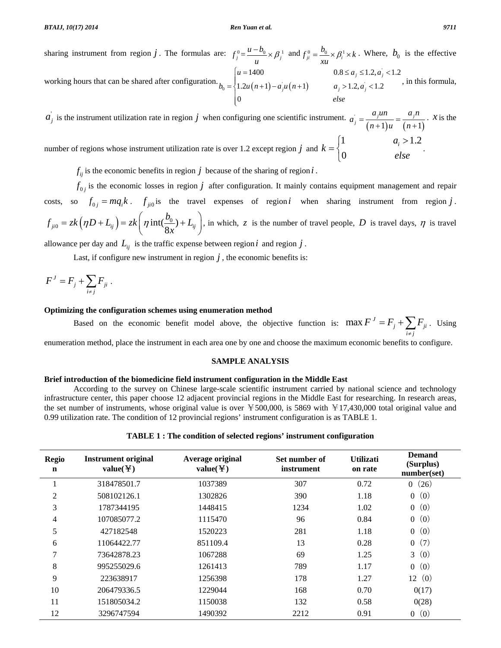sharing instrument from region *j*. The formulas are:  $f_j^0 = \frac{u - b_0}{u} \times \beta_j^1$  and  $f_{ji}^0 = \frac{b_0}{xu} \times \beta_i^1 \times k$ . Where,  $b_0$  is the effective working hours that can be shared after configuration.  $b_0 = \begin{cases} 1.2u(n+1) - a, u(n+1) \end{cases}$ '  $a_0 = \left\{ 1.2u(n+1) - a_i u(n+1) \right\}$   $a_j > 1.2, a_1$ 1400  $0.8 \le a_i \le 1.2, a_i < 1.2$  $1.2u(n+1)-a,u(n+1)$   $a_i > 1.2, a_i < 1.2$  $j = 1.2, u_j$  $a_j u (n+1)$   $a_j > 1.2, a_j$  $u = 1400$   $0.8 \le a_i \le 1.2, a$  $b_0 = \{1.2u(n+1) - a, u(n+1) \}$   $a_i > 1.2, a$  $=\begin{cases} u = 1400 & 0.8 \le a_j \le 1.2, a_j   
 1.2u(n+1)-a_ju(n+1) & a_j > 1.2, a_j < 1.2 \end{cases}$  $\overline{a}$ , in this formula,

 $a'_{j}$  is the instrument utilization rate in region *j* when configuring one scientific instrument.  $a'_{j} = \frac{a_{j}m}{(n+1)u} = \frac{a_{j}n}{(n+1)u}$  $\frac{a_j a n}{(a+1)} = \frac{a_j}{(a+1)}$  $a_j = \frac{a_j u n}{(n+1)u} = \frac{a_j n}{(n+1)}$ . *x* is the

*else*

0

 $\overline{I}$ 

number of regions whose instrument utilization rate is over 1.2 except region *j* and  $=\begin{cases} 1 & a_i > 1.2 \\ 0 & a_i > 1.2 \end{cases}$ 0 *k*  $\overline{a}$ 

 $f_{ij}$  is the economic benefits in region *j* because of the sharing of region *i*.

 $f_{0j}$  is the economic losses in region  $j$  after configuration. It mainly contains equipment management and repair costs, so  $f_{0j} = mq_i k$ .  $f_{ji0}$  is the travel expenses of region *i* when sharing instrument from region *j*.  $f_{ji0} = zk(\eta D + L_{ij}) = zk(\eta int(\frac{b_0}{8x}) + L_{ij})$  $\left(\eta D + L_{ij}\right) = z\kappa \left(\eta \operatorname{int}(\frac{\delta}{8x})\right)$  $= zk(\eta D + L_{ij}) = zk(\eta int(\frac{b_0}{8x}) + L_{ij}),$  in which, *z* is the number of travel people, *D* is travel days,  $\eta$  is travel

allowance per day and  $L_{ii}$  is the traffic expense between region *i* and region *j*.

Last, if configure new instrument in region  $\dot{j}$ , the economic benefits is:

$$
F^J = F_j + \sum_{i \neq j} F_{ji} .
$$

#### **Optimizing the configuration schemes using enumeration method**

Based on the economic benefit model above, the objective function is:  $\max F^{J} = F_{j} + \sum F_{ji}$  $i \neq j$  $F^J = F_i + \sum F$  $= F_j + \sum_{i \neq j} F_{ji}$ . Using

enumeration method, place the instrument in each area one by one and choose the maximum economic benefits to configure.

#### **SAMPLE ANALYSIS**

#### **Brief introduction of the biomedicine field instrument configuration in the Middle East**

 According to the survey on Chinese large-scale scientific instrument carried by national science and technology infrastructure center, this paper choose 12 adjacent provincial regions in the Middle East for researching. In research areas, the set number of instruments, whose original value is over  $\text{\textless}=500,000$ , is 5869 with  $\text{\textless}=17,430,000$  total original value and 0.99 utilization rate. The condition of 12 provincial regions' instrument configuration is as TABLE 1.

|  |  |  | TABLE 1 : The condition of selected regions' instrument configuration |
|--|--|--|-----------------------------------------------------------------------|
|  |  |  |                                                                       |

| <b>Regio</b><br>$\mathbf n$ | <b>Instrument original</b><br>$value($ $\yen$ $)$ | Average original<br>$value($ $\yen$ $)$ | Set number of<br>instrument | <b>Utilizati</b><br>on rate | <b>Demand</b><br>(Surplus)<br>number(set) |
|-----------------------------|---------------------------------------------------|-----------------------------------------|-----------------------------|-----------------------------|-------------------------------------------|
|                             | 318478501.7                                       | 1037389                                 | 307                         | 0.72                        | (26)<br>$\overline{0}$                    |
| $\overline{2}$              | 508102126.1                                       | 1302826                                 | 390                         | 1.18                        | (0)<br>$\overline{0}$                     |
| 3                           | 1787344195                                        | 1448415                                 | 1234                        | 1.02                        | (0)<br>$\overline{0}$                     |
| $\overline{4}$              | 107085077.2                                       | 1115470                                 | 96                          | 0.84                        | (0)<br>$\overline{0}$                     |
| 5                           | 427182548                                         | 1520223                                 | 281                         | 1.18                        | (0)<br>$\overline{0}$                     |
| 6                           | 11064422.77                                       | 851109.4                                | 13                          | 0.28                        | (7)<br>$\overline{0}$                     |
| 7                           | 73642878.23                                       | 1067288                                 | 69                          | 1.25                        | 3(0)                                      |
| 8                           | 995255029.6                                       | 1261413                                 | 789                         | 1.17                        | (0)<br>$\overline{0}$                     |
| 9                           | 223638917                                         | 1256398                                 | 178                         | 1.27                        | (0)<br>12                                 |
| 10                          | 206479336.5                                       | 1229044                                 | 168                         | 0.70                        | 0(17)                                     |
| 11                          | 151805034.2                                       | 1150038                                 | 132                         | 0.58                        | 0(28)                                     |
| 12                          | 3296747594                                        | 1490392                                 | 2212                        | 0.91                        | (0)<br>$\overline{0}$                     |

*else*

.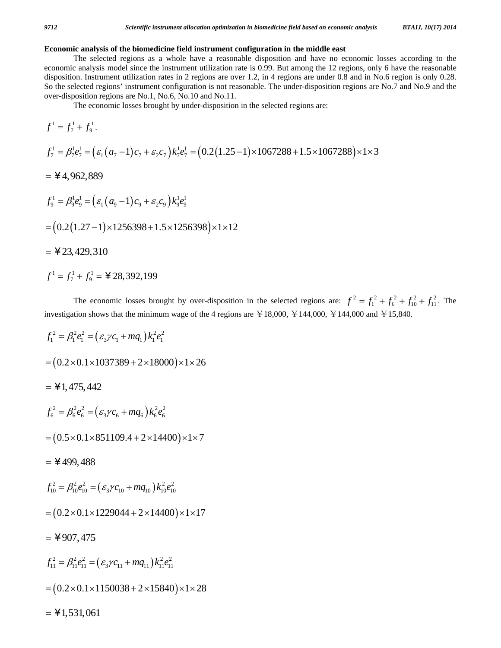### **Economic analysis of the biomedicine field instrument configuration in the middle east**

 The selected regions as a whole have a reasonable disposition and have no economic losses according to the economic analysis model since the instrument utilization rate is 0.99. But among the 12 regions, only 6 have the reasonable disposition. Instrument utilization rates in 2 regions are over 1.2, in 4 regions are under 0.8 and in No.6 region is only 0.28. So the selected regions' instrument configuration is not reasonable. The under-disposition regions are No.7 and No.9 and the over-disposition regions are No.1, No.6, No.10 and No.11.

The economic losses brought by under-disposition in the selected regions are:

$$
f^{1} = f_{7}^{1} + f_{9}^{1}.
$$
  
\n
$$
f_{7}^{1} = \beta_{7}^{1} e_{7}^{1} = (\varepsilon_{1}(a_{7} - 1)c_{7} + \varepsilon_{2}c_{7})k_{7}^{1} e_{7}^{1} = (0.2(1.25 - 1) \times 1067288 + 1.5 \times 1067288) \times 1 \times 3
$$
  
\n=  $\yen 4,962,889$   
\n
$$
f_{9}^{1} = \beta_{9}^{1} e_{9}^{1} = (\varepsilon_{1}(a_{9} - 1)c_{9} + \varepsilon_{2}c_{9})k_{9}^{1} e_{9}^{1}
$$
  
\n=  $(0.2(1.27 - 1) \times 1256398 + 1.5 \times 1256398) \times 1 \times 12$   
\n=  $\yen 23,429,310$   
\n
$$
f^{1} = f_{7}^{1} + f_{9}^{1} = \yen 28,392,199
$$

The economic losses brought by over-disposition in the selected regions are:  $f^2 = f_1^2 + f_6^2 + f_{10}^2 + f_{11}^2$ . The investigation shows that the minimum wage of the 4 regions are  $\text{\yen}18,000$ ,  $\text{\yen}144,000$ ,  $\text{\yen}144,000$  and  $\text{\yen}15,840$ .

$$
f_1^2 = \beta_1^2 e_1^2 = (\varepsilon_3 \gamma c_1 + m q_1) k_1^2 e_1^2
$$
  
= (0.2×0.1×1037389 + 2×18000)×1×26  
=  $\yen 1,475,442$   

$$
f_6^2 = \beta_6^2 e_6^2 = (\varepsilon_3 \gamma c_6 + m q_6) k_6^2 e_6^2
$$
  
= (0.5×0.1×851109.4 + 2×14400)×1×7  
=  $\yen 499,488$   

$$
f_{10}^2 = \beta_{10}^2 e_{10}^2 = (\varepsilon_3 \gamma c_{10} + m q_{10}) k_{10}^2 e_{10}^2
$$
  
= (0.2×0.1×1229044 + 2×14400)×1×17  
=  $\yen 907,475$   

$$
f_{11}^2 = \beta_{11}^2 e_{11}^2 = (\varepsilon_3 \gamma c_{11} + m q_{11}) k_{11}^2 e_{11}^2
$$
  
= (0.2×0.1×1150038 + 2×15840)×1×28  
=  $\yen 1,531,061$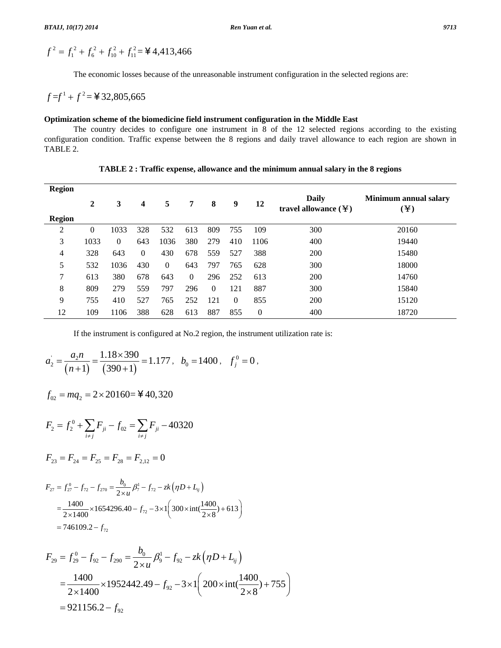$$
f^{2} = f_{1}^{2} + f_{6}^{2} + f_{10}^{2} + f_{11}^{2} =
$$
 **4**4413,466

The economic losses because of the unreasonable instrument configuration in the selected regions are:

 $f = f^{1} + f^{2} = 432,805,665$ 

### **Optimization scheme of the biomedicine field instrument configuration in the Middle East**

 The country decides to configure one instrument in 8 of the 12 selected regions according to the existing configuration condition. Traffic expense between the 8 regions and daily travel allowance to each region are shown in TABLE 2.

| <b>Region</b> |          |          |          |                |          |          |          |                |                                                       |                                                        |
|---------------|----------|----------|----------|----------------|----------|----------|----------|----------------|-------------------------------------------------------|--------------------------------------------------------|
|               | 2        | 3        | 4        | 5              | 7        | 8        | 9        | 12             | Daily<br>travel allowance $(\frac{\gamma}{\epsilon})$ | Minimum annual salary<br>$\left( \mathbf{\Psi}\right)$ |
| <b>Region</b> |          |          |          |                |          |          |          |                |                                                       |                                                        |
| 2             | $\theta$ | 1033     | 328      | 532            | 613      | 809      | 755      | 109            | 300                                                   | 20160                                                  |
| 3             | 1033     | $\Omega$ | 643      | 1036           | 380      | 279      | 410      | 1106           | 400                                                   | 19440                                                  |
| 4             | 328      | 643      | $\Omega$ | 430            | 678      | 559      | 527      | 388            | 200                                                   | 15480                                                  |
| 5             | 532      | 1036     | 430      | $\overline{0}$ | 643      | 797      | 765      | 628            | 300                                                   | 18000                                                  |
| 7             | 613      | 380      | 678      | 643            | $\Omega$ | 296      | 252      | 613            | 200                                                   | 14760                                                  |
| 8             | 809      | 279      | 559      | 797            | 296      | $\Omega$ | 121      | 887            | 300                                                   | 15840                                                  |
| 9             | 755      | 410      | 527      | 765            | 252      | 121      | $\Omega$ | 855            | 200                                                   | 15120                                                  |
| 12            | 109      | 1106     | 388      | 628            | 613      | 887      | 855      | $\overline{0}$ | 400                                                   | 18720                                                  |

**TABLE 2 : Traffic expense, allowance and the minimum annual salary in the 8 regions** 

If the instrument is configured at No.2 region, the instrument utilization rate is:

$$
a_2' = \frac{a_2 n}{(n+1)} = \frac{1.18 \times 390}{(390+1)} = 1.177, \quad b_0 = 1400, \quad f_j^0 = 0,
$$

 $f_{02} = mq_2 = 2 \times 20160 = 40,320$ 

$$
F_2 = f_2^0 + \sum_{i \neq j} F_{ji} - f_{02} = \sum_{i \neq j} F_{ji} - 40320
$$

$$
F_{23} = F_{24} = F_{25} = F_{28} = F_{2,12} = 0
$$

$$
F_{27} = f_{27}^0 - f_{72} - f_{270} = \frac{b_0}{2 \times u} \beta_7^1 - f_{72} - zk \left( \eta D + L_{ij} \right)
$$
  
= 
$$
\frac{1400}{2 \times 1400} \times 1654296.40 - f_{72} - 3 \times 1 \left( 300 \times \text{int} \left( \frac{1400}{2 \times 8} \right) + 613 \right)
$$
  
= 746109.2 - f<sub>72</sub>

$$
F_{29} = f_{29}^0 - f_{92} - f_{290} = \frac{b_0}{2 \times u} \beta_9^1 - f_{92} - zk \left( \eta D + L_{ij} \right)
$$
  
= 
$$
\frac{1400}{2 \times 1400} \times 1952442.49 - f_{92} - 3 \times 1 \left( 200 \times \text{int} \left( \frac{1400}{2 \times 8} \right) + 755 \right)
$$
  
= 921156.2 - f<sub>92</sub>